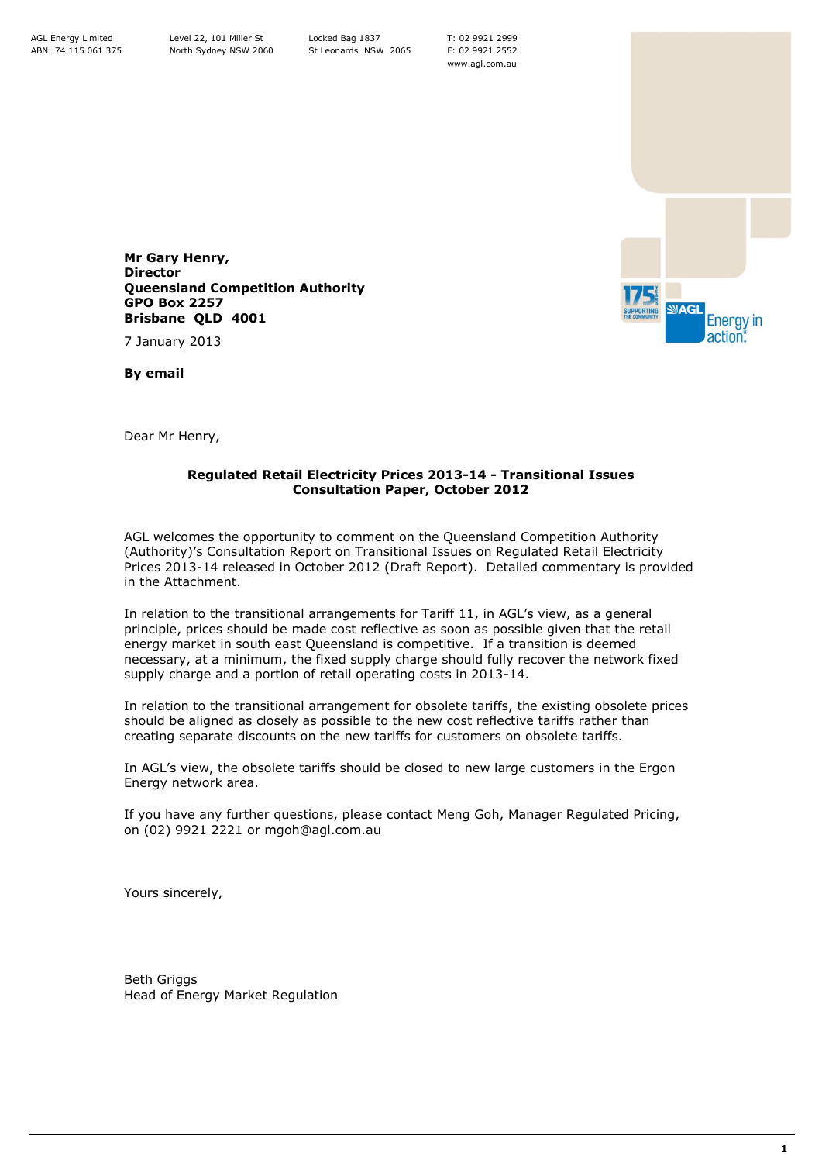T: 02 9921 2999 F: 02 9921 2552 www.agl.com.au



**Mr Gary Henry, Director Queensland Competition Authority GPO Box 2257 Brisbane QLD 4001**

7 January 2013

**By email**

Dear Mr Henry,

## **Regulated Retail Electricity Prices 2013-14 - Transitional Issues Consultation Paper, October 2012**

AGL welcomes the opportunity to comment on the Queensland Competition Authority (Authority)'s Consultation Report on Transitional Issues on Regulated Retail Electricity Prices 2013-14 released in October 2012 (Draft Report). Detailed commentary is provided in the Attachment.

In relation to the transitional arrangements for Tariff 11, in AGL's view, as a general principle, prices should be made cost reflective as soon as possible given that the retail energy market in south east Queensland is competitive. If a transition is deemed necessary, at a minimum, the fixed supply charge should fully recover the network fixed supply charge and a portion of retail operating costs in 2013-14.

In relation to the transitional arrangement for obsolete tariffs, the existing obsolete prices should be aligned as closely as possible to the new cost reflective tariffs rather than creating separate discounts on the new tariffs for customers on obsolete tariffs.

In AGL's view, the obsolete tariffs should be closed to new large customers in the Ergon Energy network area.

If you have any further questions, please contact Meng Goh, Manager Regulated Pricing, on (02) 9921 2221 or mgoh@agl.com.au

Yours sincerely,

Beth Griggs Head of Energy Market Regulation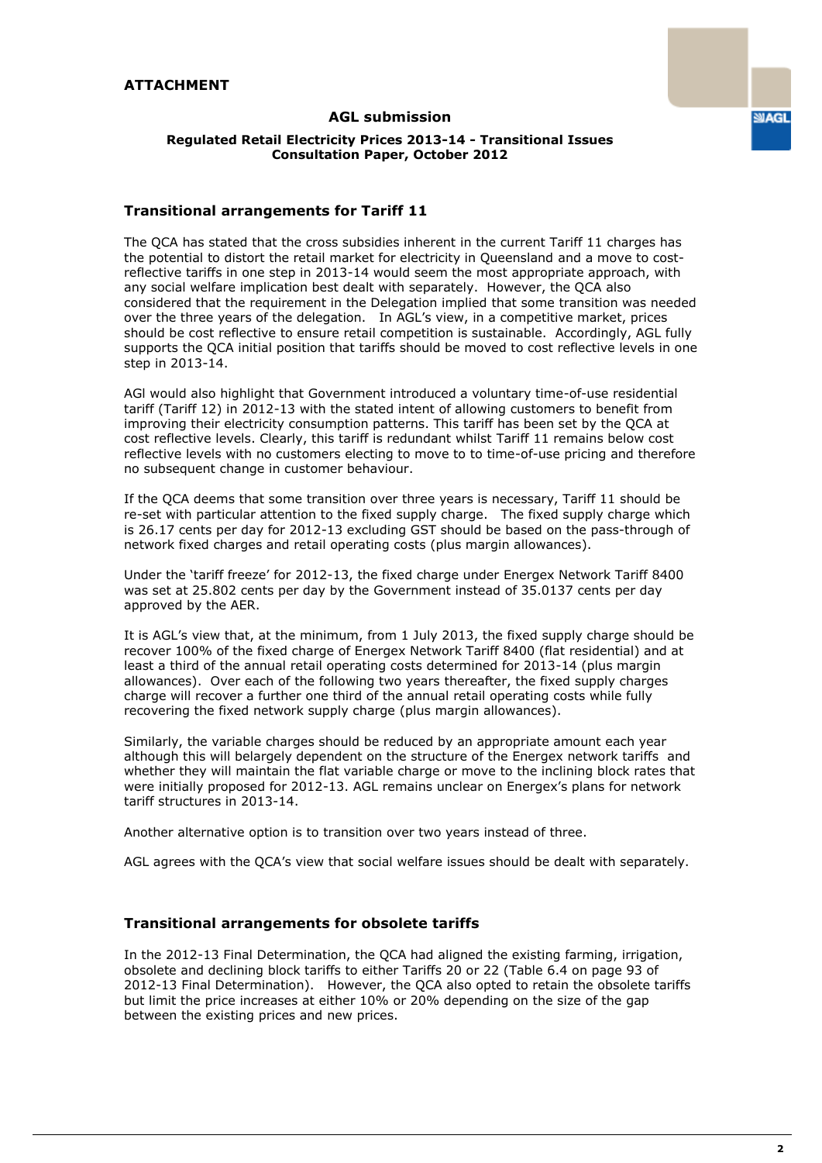## **AGL submission**

# **Transitional arrangements for Tariff 11**

The QCA has stated that the cross subsidies inherent in the current Tariff 11 charges has the potential to distort the retail market for electricity in Queensland and a move to costreflective tariffs in one step in 2013-14 would seem the most appropriate approach, with any social welfare implication best dealt with separately. However, the QCA also considered that the requirement in the Delegation implied that some transition was needed over the three years of the delegation. In AGL's view, in a competitive market, prices should be cost reflective to ensure retail competition is sustainable. Accordingly, AGL fully supports the QCA initial position that tariffs should be moved to cost reflective levels in one step in 2013-14.

AGl would also highlight that Government introduced a voluntary time-of-use residential tariff (Tariff 12) in 2012-13 with the stated intent of allowing customers to benefit from improving their electricity consumption patterns. This tariff has been set by the QCA at cost reflective levels. Clearly, this tariff is redundant whilst Tariff 11 remains below cost reflective levels with no customers electing to move to to time-of-use pricing and therefore no subsequent change in customer behaviour.

If the QCA deems that some transition over three years is necessary, Tariff 11 should be re-set with particular attention to the fixed supply charge. The fixed supply charge which is 26.17 cents per day for 2012-13 excluding GST should be based on the pass-through of network fixed charges and retail operating costs (plus margin allowances).

Under the 'tariff freeze' for 2012-13, the fixed charge under Energex Network Tariff 8400 was set at 25.802 cents per day by the Government instead of 35.0137 cents per day approved by the AER.

It is AGL's view that, at the minimum, from 1 July 2013, the fixed supply charge should be recover 100% of the fixed charge of Energex Network Tariff 8400 (flat residential) and at least a third of the annual retail operating costs determined for 2013-14 (plus margin allowances). Over each of the following two years thereafter, the fixed supply charges charge will recover a further one third of the annual retail operating costs while fully recovering the fixed network supply charge (plus margin allowances).

Similarly, the variable charges should be reduced by an appropriate amount each year although this will belargely dependent on the structure of the Energex network tariffs and whether they will maintain the flat variable charge or move to the inclining block rates that were initially proposed for 2012-13. AGL remains unclear on Energex's plans for network tariff structures in 2013-14.

Another alternative option is to transition over two years instead of three.

AGL agrees with the QCA's view that social welfare issues should be dealt with separately.

### **Transitional arrangements for obsolete tariffs**

In the 2012-13 Final Determination, the QCA had aligned the existing farming, irrigation, obsolete and declining block tariffs to either Tariffs 20 or 22 (Table 6.4 on page 93 of 2012-13 Final Determination). However, the QCA also opted to retain the obsolete tariffs but limit the price increases at either 10% or 20% depending on the size of the gap between the existing prices and new prices.

**SUAGL**